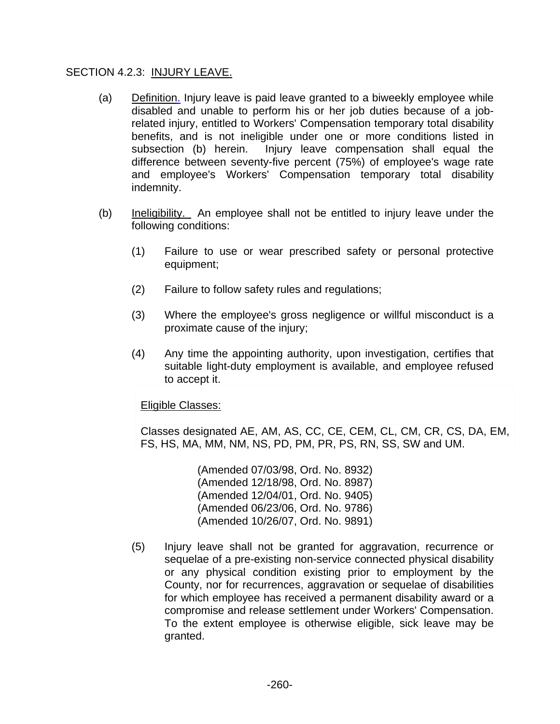#### SECTION 4.2.3: INJURY LEAVE.

- (a) Definition. Injury leave is paid leave granted to a biweekly employee while disabled and unable to perform his or her job duties because of a jobrelated injury, entitled to Workers' Compensation temporary total disability benefits, and is not ineligible under one or more conditions listed in subsection (b) herein. Injury leave compensation shall equal the difference between seventy-five percent (75%) of employee's wage rate and employee's Workers' Compensation temporary total disability indemnity.
- (b) Ineligibility. An employee shall not be entitled to injury leave under the following conditions:
	- (1) Failure to use or wear prescribed safety or personal protective equipment;
	- (2) Failure to follow safety rules and regulations;
	- (3) Where the employee's gross negligence or willful misconduct is a proximate cause of the injury;
	- (4) Any time the appointing authority, upon investigation, certifies that suitable light-duty employment is available, and employee refused to accept it.

#### Eligible Classes:

Classes designated AE, AM, AS, CC, CE, CEM, CL, CM, CR, CS, DA, EM, FS, HS, MA, MM, NM, NS, PD, PM, PR, PS, RN, SS, SW and UM.

> (Amended 07/03/98, Ord. No. 8932) (Amended 12/18/98, Ord. No. 8987) (Amended 12/04/01, Ord. No. 9405) (Amended 06/23/06, Ord. No. 9786) (Amended 10/26/07, Ord. No. 9891)

(5) Injury leave shall not be granted for aggravation, recurrence or sequelae of a pre-existing non-service connected physical disability or any physical condition existing prior to employment by the County, nor for recurrences, aggravation or sequelae of disabilities for which employee has received a permanent disability award or a compromise and release settlement under Workers' Compensation. To the extent employee is otherwise eligible, sick leave may be granted.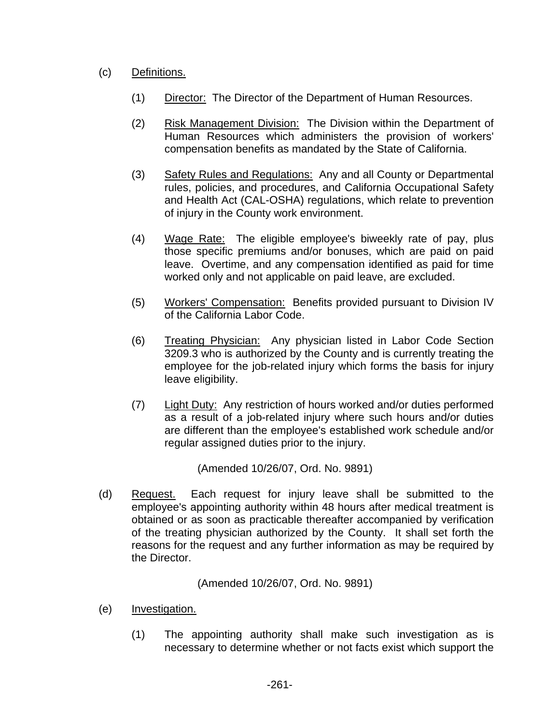# (c) Definitions.

- (1) Director: The Director of the Department of Human Resources.
- (2) Risk Management Division: The Division within the Department of Human Resources which administers the provision of workers' compensation benefits as mandated by the State of California.
- (3) Safety Rules and Regulations: Any and all County or Departmental rules, policies, and procedures, and California Occupational Safety and Health Act (CAL-OSHA) regulations, which relate to prevention of injury in the County work environment.
- (4) Wage Rate: The eligible employee's biweekly rate of pay, plus those specific premiums and/or bonuses, which are paid on paid leave. Overtime, and any compensation identified as paid for time worked only and not applicable on paid leave, are excluded.
- (5) Workers' Compensation: Benefits provided pursuant to Division IV of the California Labor Code.
- (6) Treating Physician: Any physician listed in Labor Code Section 3209.3 who is authorized by the County and is currently treating the employee for the job-related injury which forms the basis for injury leave eligibility.
- (7) Light Duty: Any restriction of hours worked and/or duties performed as a result of a job-related injury where such hours and/or duties are different than the employee's established work schedule and/or regular assigned duties prior to the injury.

(Amended 10/26/07, Ord. No. 9891)

 (d) Request. Each request for injury leave shall be submitted to the employee's appointing authority within 48 hours after medical treatment is obtained or as soon as practicable thereafter accompanied by verification of the treating physician authorized by the County. It shall set forth the reasons for the request and any further information as may be required by the Director.

(Amended 10/26/07, Ord. No. 9891)

- (e) Investigation.
	- (1) The appointing authority shall make such investigation as is necessary to determine whether or not facts exist which support the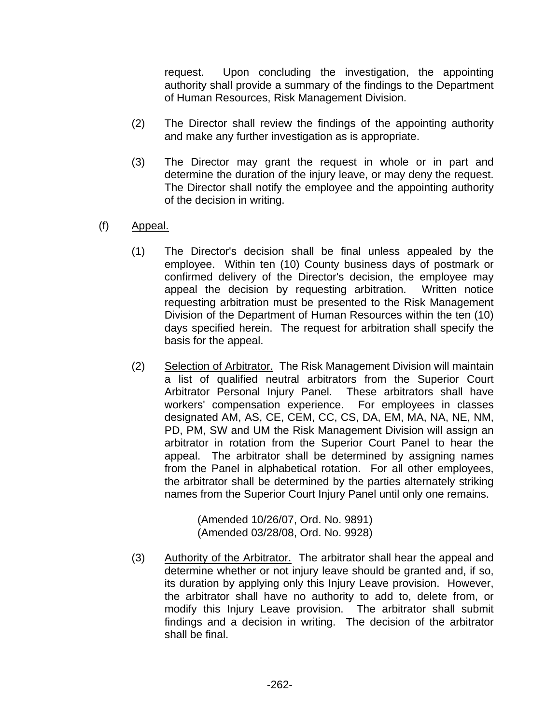request. Upon concluding the investigation, the appointing authority shall provide a summary of the findings to the Department of Human Resources, Risk Management Division.

- (2) The Director shall review the findings of the appointing authority and make any further investigation as is appropriate.
- (3) The Director may grant the request in whole or in part and determine the duration of the injury leave, or may deny the request. The Director shall notify the employee and the appointing authority of the decision in writing.
- (f) Appeal.
	- (1) The Director's decision shall be final unless appealed by the employee. Within ten (10) County business days of postmark or confirmed delivery of the Director's decision, the employee may appeal the decision by requesting arbitration. Written notice requesting arbitration must be presented to the Risk Management Division of the Department of Human Resources within the ten (10) days specified herein. The request for arbitration shall specify the basis for the appeal.
	- (2) Selection of Arbitrator. The Risk Management Division will maintain a list of qualified neutral arbitrators from the Superior Court Arbitrator Personal Injury Panel. These arbitrators shall have workers' compensation experience. For employees in classes designated AM, AS, CE, CEM, CC, CS, DA, EM, MA, NA, NE, NM, PD, PM, SW and UM the Risk Management Division will assign an arbitrator in rotation from the Superior Court Panel to hear the appeal. The arbitrator shall be determined by assigning names from the Panel in alphabetical rotation. For all other employees, the arbitrator shall be determined by the parties alternately striking names from the Superior Court Injury Panel until only one remains.

(Amended 10/26/07, Ord. No. 9891) (Amended 03/28/08, Ord. No. 9928)

(3) Authority of the Arbitrator. The arbitrator shall hear the appeal and determine whether or not injury leave should be granted and, if so, its duration by applying only this Injury Leave provision. However, the arbitrator shall have no authority to add to, delete from, or modify this Injury Leave provision. The arbitrator shall submit findings and a decision in writing. The decision of the arbitrator shall be final.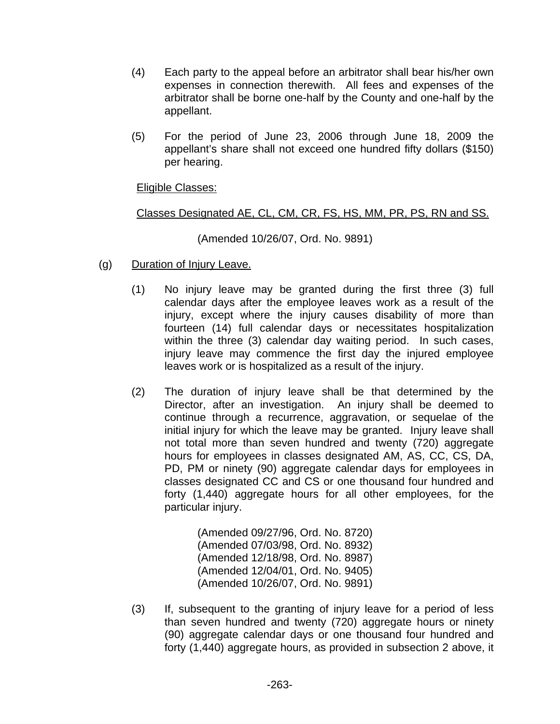- (4) Each party to the appeal before an arbitrator shall bear his/her own expenses in connection therewith. All fees and expenses of the arbitrator shall be borne one-half by the County and one-half by the appellant.
- (5) For the period of June 23, 2006 through June 18, 2009 the appellant's share shall not exceed one hundred fifty dollars (\$150) per hearing.

## Eligible Classes:

## Classes Designated AE, CL, CM, CR, FS, HS, MM, PR, PS, RN and SS.

(Amended 10/26/07, Ord. No. 9891)

- (g) Duration of Injury Leave.
	- (1) No injury leave may be granted during the first three (3) full calendar days after the employee leaves work as a result of the injury, except where the injury causes disability of more than fourteen (14) full calendar days or necessitates hospitalization within the three (3) calendar day waiting period. In such cases, injury leave may commence the first day the injured employee leaves work or is hospitalized as a result of the injury.
	- (2) The duration of injury leave shall be that determined by the Director, after an investigation. An injury shall be deemed to continue through a recurrence, aggravation, or sequelae of the initial injury for which the leave may be granted. Injury leave shall not total more than seven hundred and twenty (720) aggregate hours for employees in classes designated AM, AS, CC, CS, DA, PD, PM or ninety (90) aggregate calendar days for employees in classes designated CC and CS or one thousand four hundred and forty (1,440) aggregate hours for all other employees, for the particular injury.

(Amended 09/27/96, Ord. No. 8720) (Amended 07/03/98, Ord. No. 8932) (Amended 12/18/98, Ord. No. 8987) (Amended 12/04/01, Ord. No. 9405) (Amended 10/26/07, Ord. No. 9891)

(3) If, subsequent to the granting of injury leave for a period of less than seven hundred and twenty (720) aggregate hours or ninety (90) aggregate calendar days or one thousand four hundred and forty (1,440) aggregate hours, as provided in subsection 2 above, it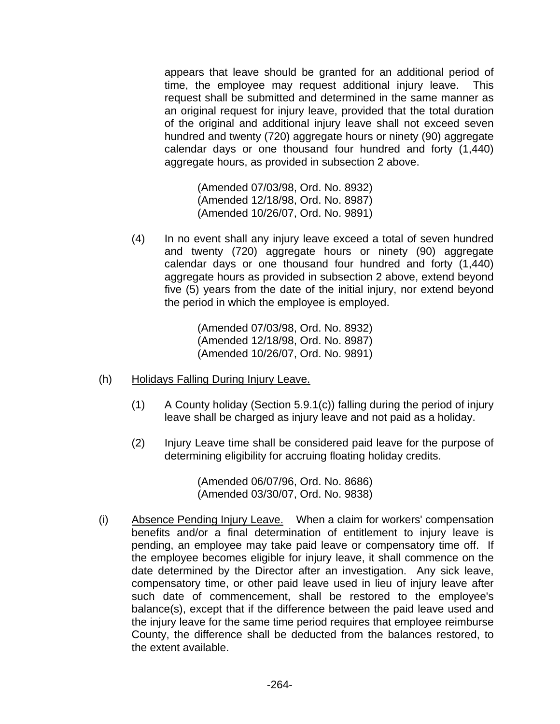appears that leave should be granted for an additional period of time, the employee may request additional injury leave. This request shall be submitted and determined in the same manner as an original request for injury leave, provided that the total duration of the original and additional injury leave shall not exceed seven hundred and twenty (720) aggregate hours or ninety (90) aggregate calendar days or one thousand four hundred and forty (1,440) aggregate hours, as provided in subsection 2 above.

(Amended 07/03/98, Ord. No. 8932) (Amended 12/18/98, Ord. No. 8987) (Amended 10/26/07, Ord. No. 9891)

(4) In no event shall any injury leave exceed a total of seven hundred and twenty (720) aggregate hours or ninety (90) aggregate calendar days or one thousand four hundred and forty (1,440) aggregate hours as provided in subsection 2 above, extend beyond five (5) years from the date of the initial injury, nor extend beyond the period in which the employee is employed.

> (Amended 07/03/98, Ord. No. 8932) (Amended 12/18/98, Ord. No. 8987) (Amended 10/26/07, Ord. No. 9891)

- (h) Holidays Falling During Injury Leave.
	- (1) A County holiday (Section 5.9.1(c)) falling during the period of injury leave shall be charged as injury leave and not paid as a holiday.
	- (2) Injury Leave time shall be considered paid leave for the purpose of determining eligibility for accruing floating holiday credits.

(Amended 06/07/96, Ord. No. 8686) (Amended 03/30/07, Ord. No. 9838)

(i) Absence Pending Injury Leave. When a claim for workers' compensation benefits and/or a final determination of entitlement to injury leave is pending, an employee may take paid leave or compensatory time off. If the employee becomes eligible for injury leave, it shall commence on the date determined by the Director after an investigation. Any sick leave, compensatory time, or other paid leave used in lieu of injury leave after such date of commencement, shall be restored to the employee's balance(s), except that if the difference between the paid leave used and the injury leave for the same time period requires that employee reimburse County, the difference shall be deducted from the balances restored, to the extent available.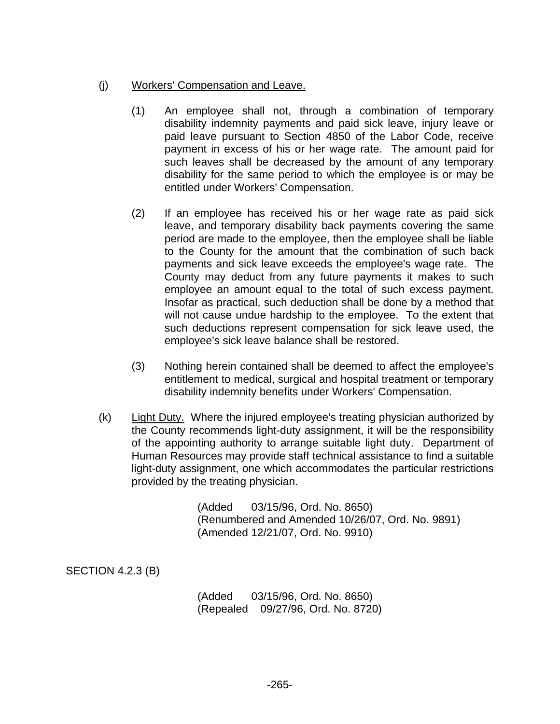## (j) Workers' Compensation and Leave.

- (1) An employee shall not, through a combination of temporary disability indemnity payments and paid sick leave, injury leave or paid leave pursuant to Section 4850 of the Labor Code, receive payment in excess of his or her wage rate. The amount paid for such leaves shall be decreased by the amount of any temporary disability for the same period to which the employee is or may be entitled under Workers' Compensation.
- (2) If an employee has received his or her wage rate as paid sick leave, and temporary disability back payments covering the same period are made to the employee, then the employee shall be liable to the County for the amount that the combination of such back payments and sick leave exceeds the employee's wage rate. The County may deduct from any future payments it makes to such employee an amount equal to the total of such excess payment. Insofar as practical, such deduction shall be done by a method that will not cause undue hardship to the employee. To the extent that such deductions represent compensation for sick leave used, the employee's sick leave balance shall be restored.
- (3) Nothing herein contained shall be deemed to affect the employee's entitlement to medical, surgical and hospital treatment or temporary disability indemnity benefits under Workers' Compensation.
- (k) Light Duty. Where the injured employee's treating physician authorized by the County recommends light-duty assignment, it will be the responsibility of the appointing authority to arrange suitable light duty. Department of Human Resources may provide staff technical assistance to find a suitable light-duty assignment, one which accommodates the particular restrictions provided by the treating physician.

(Added 03/15/96, Ord. No. 8650) (Renumbered and Amended 10/26/07, Ord. No. 9891) (Amended 12/21/07, Ord. No. 9910)

SECTION 4.2.3 (B)

(Added 03/15/96, Ord. No. 8650) (Repealed 09/27/96, Ord. No. 8720)